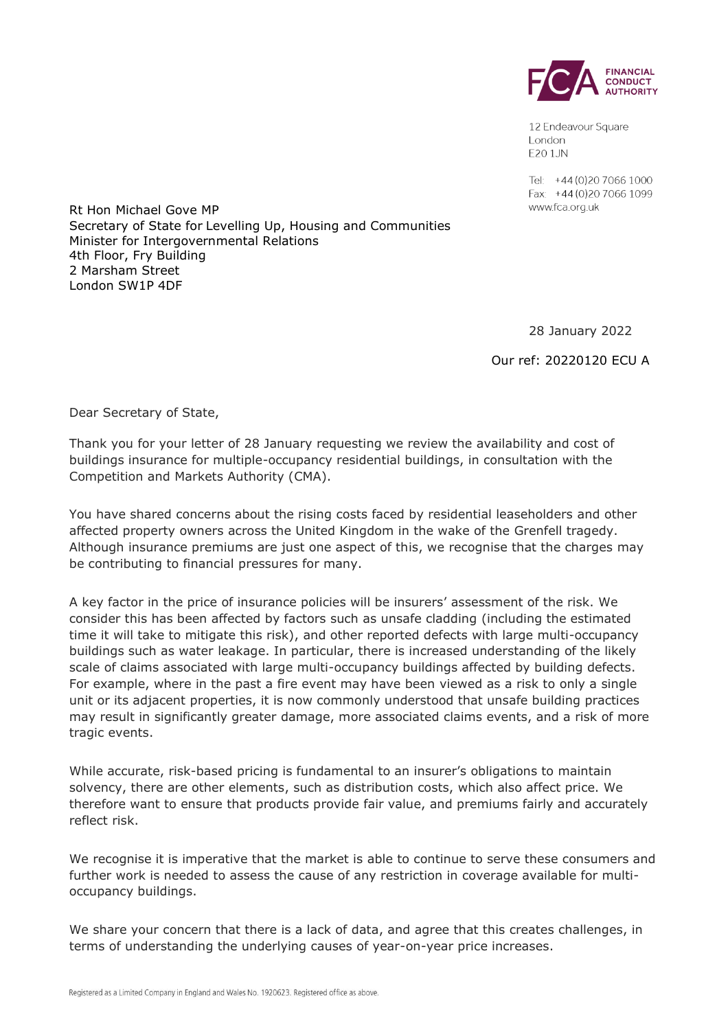

12 Endeavour Square London E201JN

Tel: +44 (0) 20 7066 1000 Fax: +44 (0) 20 7066 1099 www.fca.org.uk

Rt Hon Michael Gove MP Secretary of State for Levelling Up, Housing and Communities Minister for Intergovernmental Relations 4th Floor, Fry Building 2 Marsham Street London SW1P 4DF

28 January 2022

Our ref: 20220120 ECU A

Dear Secretary of State,

Thank you for your letter of 28 January requesting we review the availability and cost of buildings insurance for multiple-occupancy residential buildings, in consultation with the Competition and Markets Authority (CMA).

You have shared concerns about the rising costs faced by residential leaseholders and other affected property owners across the United Kingdom in the wake of the Grenfell tragedy. Although insurance premiums are just one aspect of this, we recognise that the charges may be contributing to financial pressures for many.

A key factor in the price of insurance policies will be insurers' assessment of the risk. We consider this has been affected by factors such as unsafe cladding (including the estimated time it will take to mitigate this risk), and other reported defects with large multi-occupancy buildings such as water leakage. In particular, there is increased understanding of the likely scale of claims associated with large multi-occupancy buildings affected by building defects. For example, where in the past a fire event may have been viewed as a risk to only a single unit or its adjacent properties, it is now commonly understood that unsafe building practices may result in significantly greater damage, more associated claims events, and a risk of more tragic events.

While accurate, risk-based pricing is fundamental to an insurer's obligations to maintain solvency, there are other elements, such as distribution costs, which also affect price. We therefore want to ensure that products provide fair value, and premiums fairly and accurately reflect risk.

We recognise it is imperative that the market is able to continue to serve these consumers and further work is needed to assess the cause of any restriction in coverage available for multioccupancy buildings.

We share your concern that there is a lack of data, and agree that this creates challenges, in terms of understanding the underlying causes of year-on-year price increases.